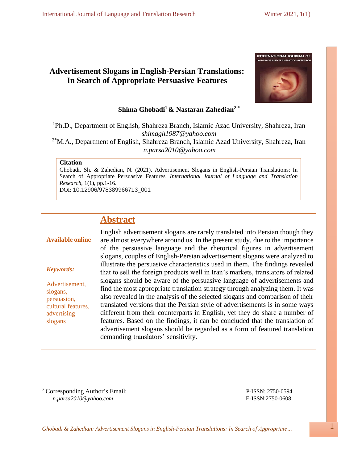# **Advertisement Slogans in English-Persian Translations: In Search of Appropriate Persuasive Features**



# **Shima Ghobadi<sup>1</sup> & Nastaran Zahedian<sup>2</sup> \***

<sup>1</sup>Ph.D., Department of English, Shahreza Branch, Islamic Azad University, Shahreza, Iran *[shimagh1987@yahoo.com](mailto:shimagh1987@yahoo.com)*

<sup>2</sup>**\***M.A., Department of English, Shahreza Branch, Islamic Azad University, Shahreza, Iran *[n.parsa2010@yahoo.com](mailto:n.parsa2010@yahoo.com)*

#### **Citation**

Ghobadi, Sh. & Zahedian, N. (2021). Advertisement Slogans in English-Persian Translations: In Search of Appropriate Persuasive Features. *International Journal of Language and Translation Research*, 1(1), pp.1-16.

DOI: 10.12906/978389966713\_001

# **Abstract**

# **Available online**

# *Keywords:*

Advertisement, slogans, persuasion, cultural features, advertising slogans

English advertisement slogans are rarely translated into Persian though they are almost everywhere around us. In the present study, due to the importance of the persuasive language and the rhetorical figures in advertisement slogans, couples of English-Persian advertisement slogans were analyzed to illustrate the persuasive characteristics used in them. The findings revealed that to sell the foreign products well in Iran's markets, translators of related slogans should be aware of the persuasive language of advertisements and find the most appropriate translation strategy through analyzing them. It was also revealed in the analysis of the selected slogans and comparison of their translated versions that the Persian style of advertisements is in some ways different from their counterparts in English, yet they do share a number of features. Based on the findings, it can be concluded that the translation of advertisement slogans should be regarded as a form of featured translation demanding translators' sensitivity.

<sup>2</sup> Corresponding Author's Email: P-ISSN: 2750-0594 *[n.parsa2010@yahoo.com](mailto:n.parsa2010@yahoo.com)* E-ISSN:2750-0608

*Ghobadi & Zahedian: Advertisement Slogans in English-Persian Translations: In Search of Appropriate…* 1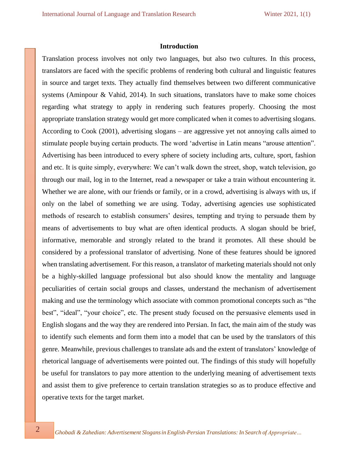#### **Introduction**

Translation process involves not only two languages, but also two cultures. In this process, translators are faced with the specific problems of rendering both cultural and linguistic features in source and target texts. They actually find themselves between two different communicative systems (Aminpour & Vahid, 2014). In such situations, translators have to make some choices regarding what strategy to apply in rendering such features properly. Choosing the most appropriate translation strategy would get more complicated when it comes to advertising slogans. According to Cook (2001), advertising slogans – are aggressive yet not annoying calls aimed to stimulate people buying certain products. The word 'advertise in Latin means "arouse attention". Advertising has been introduced to every sphere of society including arts, culture, sport, fashion and etc. It is quite simply, everywhere: We can't walk down the street, shop, watch television, go through our mail, log in to the Internet, read a newspaper or take a train without encountering it. Whether we are alone, with our friends or family, or in a crowd, advertising is always with us, if only on the label of something we are using. Today, advertising agencies use sophisticated methods of research to establish consumers' desires, tempting and trying to persuade them by means of advertisements to buy what are often identical products. A slogan should be brief, informative, memorable and strongly related to the brand it promotes. All these should be considered by a professional translator of advertising. None of these features should be ignored when translating advertisement. For this reason, a translator of marketing materials should not only be a highly-skilled language professional but also should know the mentality and language peculiarities of certain social groups and classes, understand the mechanism of advertisement making and use the terminology which associate with common promotional concepts such as "the best", "ideal", "your choice", etc. The present study focused on the persuasive elements used in English slogans and the way they are rendered into Persian. In fact, the main aim of the study was to identify such elements and form them into a model that can be used by the translators of this genre. Meanwhile, previous challenges to translate ads and the extent of translators' knowledge of rhetorical language of advertisements were pointed out. The findings of this study will hopefully be useful for translators to pay more attention to the underlying meaning of advertisement texts and assist them to give preference to certain translation strategies so as to produce effective and operative texts for the target market.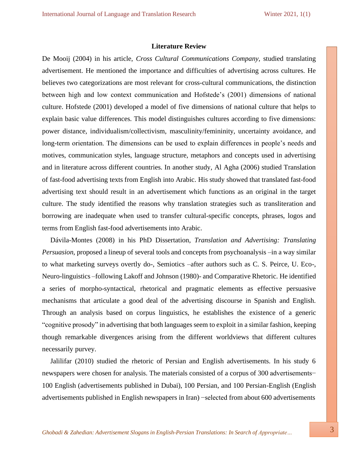#### **Literature Review**

De Mooij (2004) in his article, *Cross Cultural Communications Company,* studied translating advertisement. He mentioned the importance and difficulties of advertising across cultures. He believes two categorizations are most relevant for cross-cultural communications, the distinction between high and low context communication and Hofstede's (2001) dimensions of national culture. Hofstede (2001) developed a model of five dimensions of national culture that helps to explain basic value differences. This model distinguishes cultures according to five dimensions: power distance, individualism/collectivism, masculinity/femininity, uncertainty avoidance, and long-term orientation. The dimensions can be used to explain differences in people's needs and motives, communication styles, language structure, metaphors and concepts used in advertising and in literature across different countries. In another study, Al Agha (2006) studied Translation of fast-food advertising texts from English into Arabic. His study showed that translated fast-food advertising text should result in an advertisement which functions as an original in the target culture. The study identified the reasons why translation strategies such as transliteration and borrowing are inadequate when used to transfer cultural-specific concepts, phrases, logos and terms from English fast-food advertisements into Arabic.

Dávila-Montes (2008) in his PhD Dissertation, *Translation and Advertising: Translating Persuasion*, proposed a lineup of several tools and concepts from psychoanalysis –in a way similar to what marketing surveys overtly do-, Semiotics –after authors such as C. S. Peirce, U. Eco-, Neuro-linguistics –following Lakoff and Johnson (1980)- and Comparative Rhetoric. He identified a series of morpho-syntactical, rhetorical and pragmatic elements as effective persuasive mechanisms that articulate a good deal of the advertising discourse in Spanish and English. Through an analysis based on corpus linguistics, he establishes the existence of a generic "cognitive prosody" in advertising that both languages seem to exploit in a similar fashion, keeping though remarkable divergences arising from the different worldviews that different cultures necessarily purvey.

Jalilifar (2010) studied the rhetoric of Persian and English advertisements. In his study 6 newspapers were chosen for analysis. The materials consisted of a corpus of 300 advertisements− 100 English (advertisements published in Dubai), 100 Persian, and 100 Persian-English (English advertisements published in English newspapers in Iran) −selected from about 600 advertisements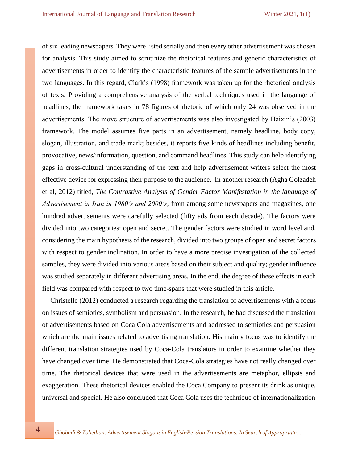of six leading newspapers. They were listed serially and then every other advertisement was chosen for analysis. This study aimed to scrutinize the rhetorical features and generic characteristics of advertisements in order to identify the characteristic features of the sample advertisements in the two languages. In this regard, Clark's (1998) framework was taken up for the rhetorical analysis of texts. Providing a comprehensive analysis of the verbal techniques used in the language of headlines, the framework takes in 78 figures of rhetoric of which only 24 was observed in the advertisements. The move structure of advertisements was also investigated by Haixin's (2003) framework. The model assumes five parts in an advertisement, namely headline, body copy, slogan, illustration, and trade mark; besides, it reports five kinds of headlines including benefit, provocative, news/information, question, and command headlines. This study can help identifying gaps in cross-cultural understanding of the text and help advertisement writers select the most effective device for expressing their purpose to the audience. In another research (Agha Golzadeh et al, 2012) titled, *The Contrastive Analysis of Gender Factor Manifestation in the language of Advertisement in Iran in 1980's and 2000's*, from among some newspapers and magazines, one hundred advertisements were carefully selected (fifty ads from each decade). The factors were divided into two categories: open and secret. The gender factors were studied in word level and, considering the main hypothesis of the research, divided into two groups of open and secret factors with respect to gender inclination. In order to have a more precise investigation of the collected samples, they were divided into various areas based on their subject and quality; gender influence was studied separately in different advertising areas. In the end, the degree of these effects in each field was compared with respect to two time-spans that were studied in this article.

Christelle (2012) conducted a research regarding the translation of advertisements with a focus on issues of semiotics, symbolism and persuasion. In the research, he had discussed the translation of advertisements based on Coca Cola advertisements and addressed to semiotics and persuasion which are the main issues related to advertising translation. His mainly focus was to identify the different translation strategies used by Coca-Cola translators in order to examine whether they have changed over time. He demonstrated that Coca-Cola strategies have not really changed over time. The rhetorical devices that were used in the advertisements are metaphor, ellipsis and exaggeration. These rhetorical devices enabled the Coca Company to present its drink as unique, universal and special. He also concluded that Coca Cola uses the technique of internationalization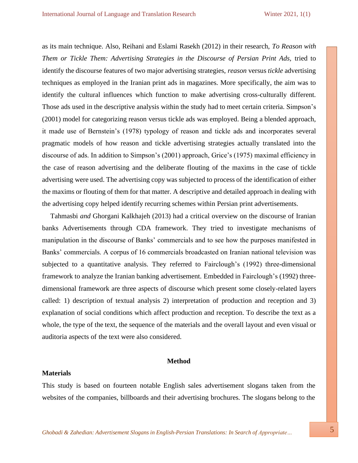as its main technique. Also, Reihani and Eslami Rasekh (2012) in their research, *To Reason with Them or Tickle Them: Advertising Strategies in the Discourse of Persian Print Ads, tried to* identify the discourse features of two major advertising strategies, *reason* versus *tickle* advertising techniques as employed in the Iranian print ads in magazines. More specifically, the aim was to identify the cultural influences which function to make advertising cross-culturally different. Those ads used in the descriptive analysis within the study had to meet certain criteria. Simpson's (2001) model for categorizing reason versus tickle ads was employed. Being a blended approach, it made use of Bernstein's (1978) typology of reason and tickle ads and incorporates several pragmatic models of how reason and tickle advertising strategies actually translated into the discourse of ads. In addition to Simpson's (2001) approach, Grice's (1975) maximal efficiency in the case of reason advertising and the deliberate flouting of the maxims in the case of tickle advertising were used. The advertising copy was subjected to process of the identification of either the maxims or flouting of them for that matter. A descriptive and detailed approach in dealing with the advertising copy helped identify recurring schemes within Persian print advertisements.

Tahmasbi *and* Ghorgani Kalkhajeh (2013) had a critical overview on the discourse of Iranian banks Advertisements through CDA framework. They tried to investigate mechanisms of manipulation in the discourse of Banks' commercials and to see how the purposes manifested in Banks' commercials. A corpus of 16 commercials broadcasted on Iranian national television was subjected to a quantitative analysis. They referred to Fairclough's (1992) three-dimensional framework to analyze the Iranian banking advertisement. Embedded in Fairclough's (1992) threedimensional framework are three aspects of discourse which present some closely-related layers called: 1) description of textual analysis 2) interpretation of production and reception and 3) explanation of social conditions which affect production and reception. To describe the text as a whole, the type of the text, the sequence of the materials and the overall layout and even visual or auditoria aspects of the text were also considered.

#### **Method**

#### **Materials**

This study is based on fourteen notable English sales advertisement slogans taken from the websites of the companies, billboards and their advertising brochures. The slogans belong to the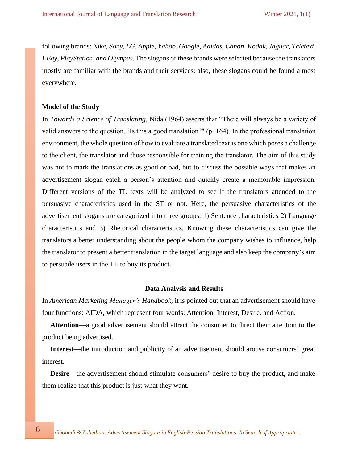following brands: *Nike, Sony, LG, Apple, Yahoo, Google, Adidas, Canon, Kodak, Jaguar, Teletext, EBay, PlayStation, and Olympus*. The slogans of these brands were selected because the translators mostly are familiar with the brands and their services; also, these slogans could be found almost everywhere.

# **Model of the Study**

In *Towards a Science of Translating*, Nida (1964) asserts that "There will always be a variety of valid answers to the question, 'Is this a good translation?" (p. 164). In the professional translation environment, the whole question of how to evaluate a translated text is one which poses a challenge to the client, the translator and those responsible for training the translator. The aim of this study was not to mark the translations as good or bad, but to discuss the possible ways that makes an advertisement slogan catch a person's attention and quickly create a memorable impression. Different versions of the TL texts will be analyzed to see if the translators attended to the persuasive characteristics used in the ST or not. Here, the persuasive characteristics of the advertisement slogans are categorized into three groups: 1) Sentence characteristics 2) Language characteristics and 3) Rhetorical characteristics. Knowing these characteristics can give the translators a better understanding about the people whom the company wishes to influence, help the translator to present a better translation in the target language and also keep the company's aim to persuade users in the TL to buy its product.

#### **Data Analysis and Results**

In *American Marketing Manager's Handbook,* it is pointed out that an advertisement should have four functions: AIDA, which represent four words: Attention, Interest, Desire, and Action.

**Attention**—a good advertisement should attract the consumer to direct their attention to the product being advertised.

**Interest**—the introduction and publicity of an advertisement should arouse consumers' great interest.

**Desire**—the advertisement should stimulate consumers' desire to buy the product, and make them realize that this product is just what they want.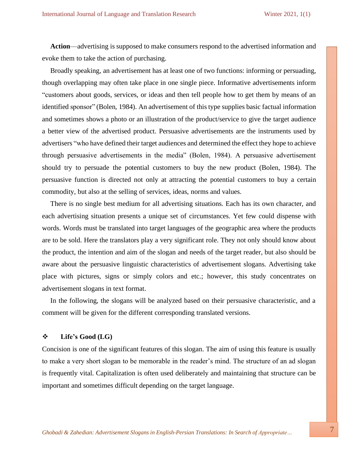**Action**—advertising is supposed to make consumers respond to the advertised information and evoke them to take the action of purchasing.

Broadly speaking, an advertisement has at least one of two functions: informing or persuading, though overlapping may often take place in one single piece. Informative advertisements inform "customers about goods, services, or ideas and then tell people how to get them by means of an identified sponsor" (Bolen, 1984). An advertisement of this type supplies basic factual information and sometimes shows a photo or an illustration of the product/service to give the target audience a better view of the advertised product. Persuasive advertisements are the instruments used by advertisers "who have defined their target audiences and determined the effect they hope to achieve through persuasive advertisements in the media" (Bolen, 1984). A persuasive advertisement should try to persuade the potential customers to buy the new product (Bolen, 1984). The persuasive function is directed not only at attracting the potential customers to buy a certain commodity, but also at the selling of services, ideas, norms and values.

There is no single best medium for all advertising situations. Each has its own character, and each advertising situation presents a unique set of circumstances. Yet few could dispense with words. Words must be translated into target languages of the geographic area where the products are to be sold. Here the translators play a very significant role. They not only should know about the product, the intention and aim of the slogan and needs of the target reader, but also should be aware about the persuasive linguistic characteristics of advertisement slogans. Advertising take place with pictures, signs or simply colors and etc.; however, this study concentrates on advertisement slogans in text format.

In the following, the slogans will be analyzed based on their persuasive characteristic, and a comment will be given for the different corresponding translated versions.

#### ❖ **Life's Good (LG)**

Concision is one of the significant features of this slogan. The aim of using this feature is usually to make a very short slogan to be memorable in the reader's mind. The structure of an ad slogan is frequently vital. Capitalization is often used deliberately and maintaining that structure can be important and sometimes difficult depending on the target language.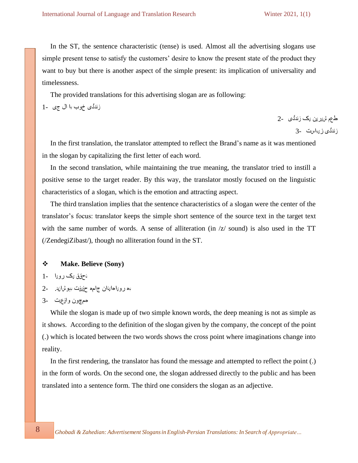In the ST, the sentence characteristic (tense) is used. Almost all the advertising slogans use simple present tense to satisfy the customers' desire to know the present state of the product they want to buy but there is another aspect of the simple present: its implication of universality and timelessness.

The provided translations for this advertising slogan are as following:

زندگی خوب با ال جی -1

طعم ش،ر ین <sub>نا</sub>ک زندگی 2-زندگى ز پياست -3

In the first translation, the translator attempted to reflect the Brand's name as it was mentioned in the slogan by capitalizing the first letter of each word.

In the second translation, while maintaining the true meaning, the translator tried to instill a positive sense to the target reader. By this way, the translator mostly focused on the linguistic characteristics of a slogan, which is the emotion and attracting aspect.

The third translation implies that the sentence characteristics of a slogan were the center of the translator's focus: translator keeps the simple short sentence of the source text in the target text with the same number of words. A sense of alliteration (in  $\zeta$  sound) is also used in the TT (/ZendegiZibast/), though no alliteration found in the ST.

# ❖ **Make. Believe (Sony)**

- ت ح قق ی ک روی ا 1-
- به رویا هائنان جاحه حقیقت بهوشانید . ـــ2

While the slogan is made up of two simple known words, the deep meaning is not as simple as it shows. According to the definition of the slogan given by the company, the concept of the point (.) which is located between the two words shows the cross point where imaginations change into reality.

In the first rendering, the translator has found the message and attempted to reflect the point (.) in the form of words. On the second one, the slogan addressed directly to the public and has been translated into a sentence form. The third one considers the slogan as an adjective.

همچون واڼیت -3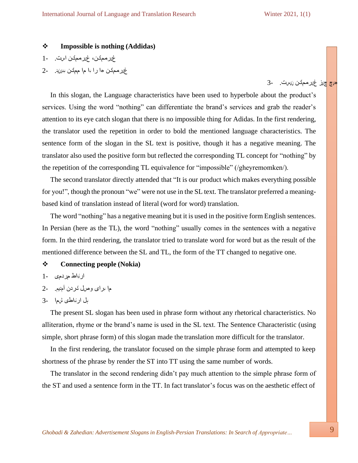هه چ پن غ ر ممکن <sub>ل<sup>است.</sup> 3-</sub>

# ❖ **Impossible is nothing (Addidas)**

غیر ممکن، غیر ممکن است. -1

غیر ممکن ها را با ما ممکن ببینید. -2

In this slogan, the Language characteristics have been used to hyperbole about the product's services. Using the word "nothing" can differentiate the brand's services and grab the reader's attention to its eye catch slogan that there is no impossible thing for Adidas. In the first rendering, the translator used the repetition in order to bold the mentioned language characteristics. The sentence form of the slogan in the SL text is positive, though it has a negative meaning. The translator also used the positive form but reflected the corresponding TL concept for "nothing" by the repetition of the corresponding TL equivalence for "impossible" (/gheyremomken/).

The second translator directly attended that "It is our product which makes everything possible for you!", though the pronoun "we" were not use in the SL text. The translator preferred a meaningbased kind of translation instead of literal (word for word) translation.

The word "nothing" has a negative meaning but it is used in the positive form English sentences. In Persian (here as the TL), the word "nothing" usually comes in the sentences with a negative form. In the third rendering, the translator tried to translate word for word but as the result of the mentioned difference between the SL and TL, the form of the TT changed to negative one.

# ❖ **Connecting people (Nokia)**

- ار اط مردمى -1
- ما برای وصل کردن آمدیم. -2
- پل ا ر ت باطی ش ما 3-

The present SL slogan has been used in phrase form without any rhetorical characteristics. No alliteration, rhyme or the brand's name is used in the SL text. The Sentence Characteristic (using simple, short phrase form) of this slogan made the translation more difficult for the translator.

In the first rendering, the translator focused on the simple phrase form and attempted to keep shortness of the phrase by render the ST into TT using the same number of words.

The translator in the second rendering didn't pay much attention to the simple phrase form of the ST and used a sentence form in the TT. In fact translator's focus was on the aesthetic effect of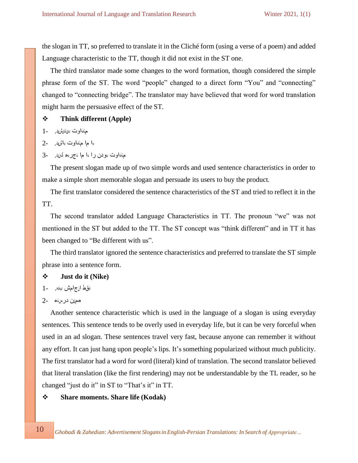the slogan in TT, so preferred to translate it in the Cliché form (using a verse of a poem) and added Language characteristic to the TT, though it did not exist in the ST one.

The third translator made some changes to the word formation, though considered the simple phrase form of the ST. The word "people" changed to a direct form "You" and "connecting" changed to "connecting bridge". The translator may have believed that word for word translation might harm the persuasive effect of the ST.

# ❖ **Think different (Apple)**

- م ناوت بى ندىش يد. 1
- با ما منفاوت باشید. -2
- حنفاوت بودن را با ما تجربه کنید . 3-

The present slogan made up of two simple words and used sentence characteristics in order to make a simple short memorable slogan and persuade its users to buy the product.

The first translator considered the sentence characteristics of the ST and tried to reflect it in the TT.

The second translator added Language Characteristics in TT. The pronoun "we" was not mentioned in the ST but added to the TT. The ST concept was "think different" and in TT it has been changed to "Be different with us".

The third translator ignored the sentence characteristics and preferred to translate the ST simple phrase into a sentence form.

#### ❖ **Just do it (Nike)**

```
نقط انجامش بده. 1-
```
#### همهن در سه -2

Another sentence characteristic which is used in the language of a slogan is using everyday sentences. This sentence tends to be overly used in everyday life, but it can be very forceful when used in an ad slogan. These sentences travel very fast, because anyone can remember it without any effort. It can just hang upon people's lips. It's something popularized without much publicity. The first translator had a word for word (literal) kind of translation. The second translator believed that literal translation (like the first rendering) may not be understandable by the TL reader, so he changed "just do it" in ST to "That's it" in TT.

# ❖ **Share moments. Share life (Kodak)**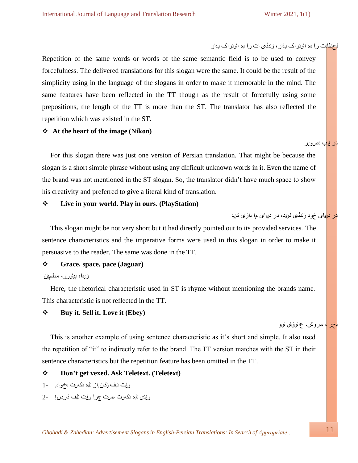در دانای خود زندگی کن<sub>ا</sub>د، در دن<sub>ف</sub>ای م۱ بازی کنید

حظات ر ا به اشتر اک بذار ، زندگی ات ر ا به اشتر اک بذار

Repetition of the same words or words of the same semantic field is to be used to convey forcefulness. The delivered translations for this slogan were the same. It could be the result of the simplicity using in the language of the slogans in order to make it memorable in the mind. The same features have been reflected in the TT though as the result of forcefully using some prepositions, the length of the TT is more than the ST. The translator has also reflected the repetition which was existed in the ST.

# ❖ **At the heart of the image (Nikon)**

For this slogan there was just one version of Persian translation. That might be because the slogan is a short simple phrase without using any difficult unknown words in it. Even the name of the brand was not mentioned in the ST slogan. So, the translator didn't have much space to show his creativity and preferred to give a literal kind of translation.

#### ❖ **Live in your world. Play in ours. (PlayStation)**

This slogan might be not very short but it had directly pointed out to its provided services. The sentence characteristics and the imperative forms were used in this slogan in order to make it persuasive to the reader. The same was done in the TT.

# ❖ **Grace, space, pace (Jaguar)**

ز،با، پیشرو، مطم*ئن* 

Here, the rhetorical characteristic used in ST is rhyme without mentioning the brands name. This characteristic is not reflected in the TT.

# ❖ **Buy it. Sell it. Love it (Ebey)**

اخر <mark>، بنروش، عاشقش شو</mark>

در قلب ت صوی ر

This is another example of using sentence characteristic as it's short and simple. It also used the repetition of "it" to indirectly refer to the brand. The TT version matches with the ST in their sentence characteristics but the repetition feature has been omitted in the TT.

# ❖ **Don't get vexed. Ask Teletext. (Teletext)**

- وفت نلف نکن از ناه نکست بخواه. -1
- وؤنسی ناه نکست حست چرا وؤت نلف کردن! \_\_2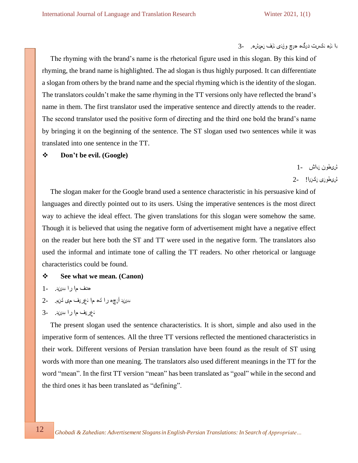با ناره نکست درگ، مىچ وقتى ناف نحىش. -3

The rhyming with the brand's name is the rhetorical figure used in this slogan. By this kind of rhyming, the brand name is highlighted. The ad slogan is thus highly purposed. It can differentiate a slogan from others by the brand name and the special rhyming which is the identity of the slogan. The translators couldn't make the same rhyming in the TT versions only have reflected the brand's name in them. The first translator used the imperative sentence and directly attends to the reader. The second translator used the positive form of directing and the third one bold the brand's name by bringing it on the beginning of the sentence. The ST slogan used two sentences while it was translated into one sentence in the TT.

## ❖ **Don't be evil. (Google)**

شی طو ن نب اش 1- شی طو نی ن کن یا! 2-

The slogan maker for the Google brand used a sentence characteristic in his persuasive kind of languages and directly pointed out to its users. Using the imperative sentences is the most direct way to achieve the ideal effect. The given translations for this slogan were somehow the same. Though it is believed that using the negative form of advertisement might have a negative effect on the reader but here both the ST and TT were used in the negative form. The translators also used the informal and intimate tone of calling the TT readers. No other rhetorical or language characteristics could be found.

- ❖ **See what we mean. (Canon)**
- هدف ما را ببرن ید . 1
- ببينيد آنچ م را که ما تعریف می کنیم. -2

The present slogan used the sentence characteristics. It is short, simple and also used in the imperative form of sentences. All the three TT versions reflected the mentioned characteristics in their work. Different versions of Persian translation have been found as the result of ST using words with more than one meaning. The translators also used different meanings in the TT for the word "mean". In the first TT version "mean" has been translated as "goal" while in the second and the third ones it has been translated as "defining".

ن ع ریف ما را ببرزید. -3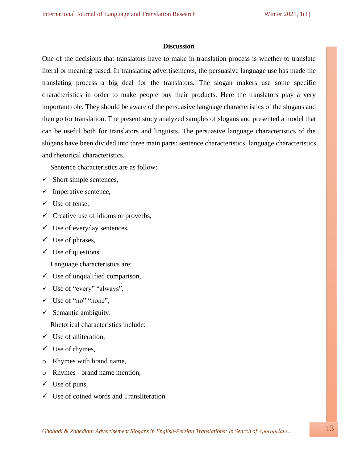#### **Discussion**

One of the decisions that translators have to make in translation process is whether to translate literal or meaning based. In translating advertisements, the persuasive language use has made the translating process a big deal for the translators. The slogan makers use some specific characteristics in order to make people buy their products. Here the translators play a very important role. They should be aware of the persuasive language characteristics of the slogans and then go for translation. The present study analyzed samples of slogans and presented a model that can be useful both for translators and linguists. The persuasive language characteristics of the slogans have been divided into three main parts: sentence characteristics, language characteristics and rhetorical characteristics.

Sentence characteristics are as follow:

- $\checkmark$  Short simple sentences,
- $\checkmark$  Imperative sentence,
- ✓ Use of tense,
- $\checkmark$  Creative use of idioms or proverbs,
- $\checkmark$  Use of everyday sentences,
- $\checkmark$  Use of phrases,
- $\checkmark$  Use of questions.

Language characteristics are:

- $\checkmark$  Use of unqualified comparison,
- ✓ Use of "every" "always",
- ✓ Use of "no" "none",
- $\checkmark$  Semantic ambiguity.

Rhetorical characteristics include:

- $\checkmark$  Use of alliteration,
- $\checkmark$  Use of rhymes,
- o Rhymes with brand name,
- o Rhymes brand name mention,
- $\checkmark$  Use of puns,
- $\checkmark$  Use of coined words and Transliteration.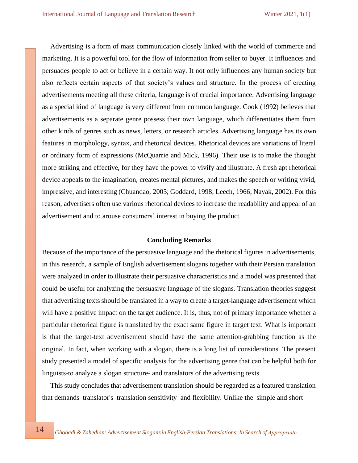Advertising is a form of mass communication closely linked with the world of commerce and marketing. It is a powerful tool for the flow of information from seller to buyer. It influences and persuades people to act or believe in a certain way. It not only influences any human society but also reflects certain aspects of that society's values and structure. In the process of creating advertisements meeting all these criteria, language is of crucial importance. Advertising language as a special kind of language is very different from common language. Cook (1992) believes that advertisements as a separate genre possess their own language, which differentiates them from other kinds of genres such as news, letters, or research articles. Advertising language has its own features in morphology, syntax, and rhetorical devices. Rhetorical devices are variations of literal or ordinary form of expressions (McQuarrie and Mick, 1996). Their use is to make the thought more striking and effective, for they have the power to vivify and illustrate. A fresh apt rhetorical device appeals to the imagination, creates mental pictures, and makes the speech or writing vivid, impressive, and interesting (Chuandao, 2005; Goddard, 1998; Leech, 1966; Nayak, 2002). For this reason, advertisers often use various rhetorical devices to increase the readability and appeal of an advertisement and to arouse consumers' interest in buying the product.

#### **Concluding Remarks**

Because of the importance of the persuasive language and the rhetorical figures in advertisements, in this research, a sample of English advertisement slogans together with their Persian translation were analyzed in order to illustrate their persuasive characteristics and a model was presented that could be useful for analyzing the persuasive language of the slogans. Translation theories suggest that advertising texts should be translated in a way to create a target-language advertisement which will have a positive impact on the target audience. It is, thus, not of primary importance whether a particular rhetorical figure is translated by the exact same figure in target text. What is important is that the target-text advertisement should have the same attention-grabbing function as the original. In fact, when working with a slogan, there is a long list of considerations. The present study presented a model of specific analysis for the advertising genre that can be helpful both for linguists-to analyze a slogan structure- and translators of the advertising texts.

This study concludes that advertisement translation should be regarded as a featured translation that demands translator's translation sensitivity and flexibility. Unlike the simple and short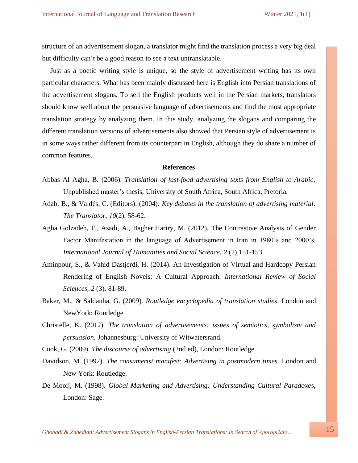structure of an advertisement slogan, a translator might find the translation process a very big deal but difficulty can't be a good reason to see a text untranslatable.

Just as a poetic writing style is unique, so the style of advertisement writing has its own particular characters. What has been mainly discussed here is English into Persian translations of the advertisement slogans. To sell the English products well in the Persian markets, translators should know well about the persuasive language of advertisements and find the most appropriate translation strategy by analyzing them. In this study, analyzing the slogans and comparing the different translation versions of advertisements also showed that Persian style of advertisement is in some ways rather different from its counterpart in English, although they do share a number of common features.

# **References**

- Abbas Al Agha, B. (2006). *Translation of fast-food advertising texts from English to Arabic*, Unpublished master's thesis, University of South Africa, South Africa, Pretoria.
- Adab, B., & Valdés, C. (Editors). (2004). *Key debates in the translation of advertising material*. *The Translator*, *10*(2), 58-62.
- Agha Golzadeh, F., Asadi, A., BagheriHariry, M. (2012). The Contrastive Analysis of Gender Factor Manifestation in the language of Advertisement in Iran in 1980's and 2000's. *International Journal of Humanities and Social Science*, *2* (2),151-153
- Aminpour, S., & Vahid Dastjerdi, H. (2014). An Investigation of Virtual and Hardcopy Persian Rendering of English Novels: A Cultural Approach. *International Review of Social Sciences, 2* (3), 81-89.
- Baker, M., & Saldanha, G. (2009). *Routledge encyclopedia of translation studies*. London and NewYork: Routledge
- Christelle, K. (2012). *The translation of advertisements: issues of semiotics, symbolism and persuasion*. Johannesburg: University of Witwatersrand.
- Cook, G. (2009). *The discourse of advertising* (2nd ed), London: Routledge.
- Davidson, M. (1992). *The consumerist manifest: Advertising in postmodern times*. London and New York: Routledge.
- De Mooij, M. (1998). *Global Marketing and Advertising: Understanding Cultural Paradoxe*s, London: Sage.